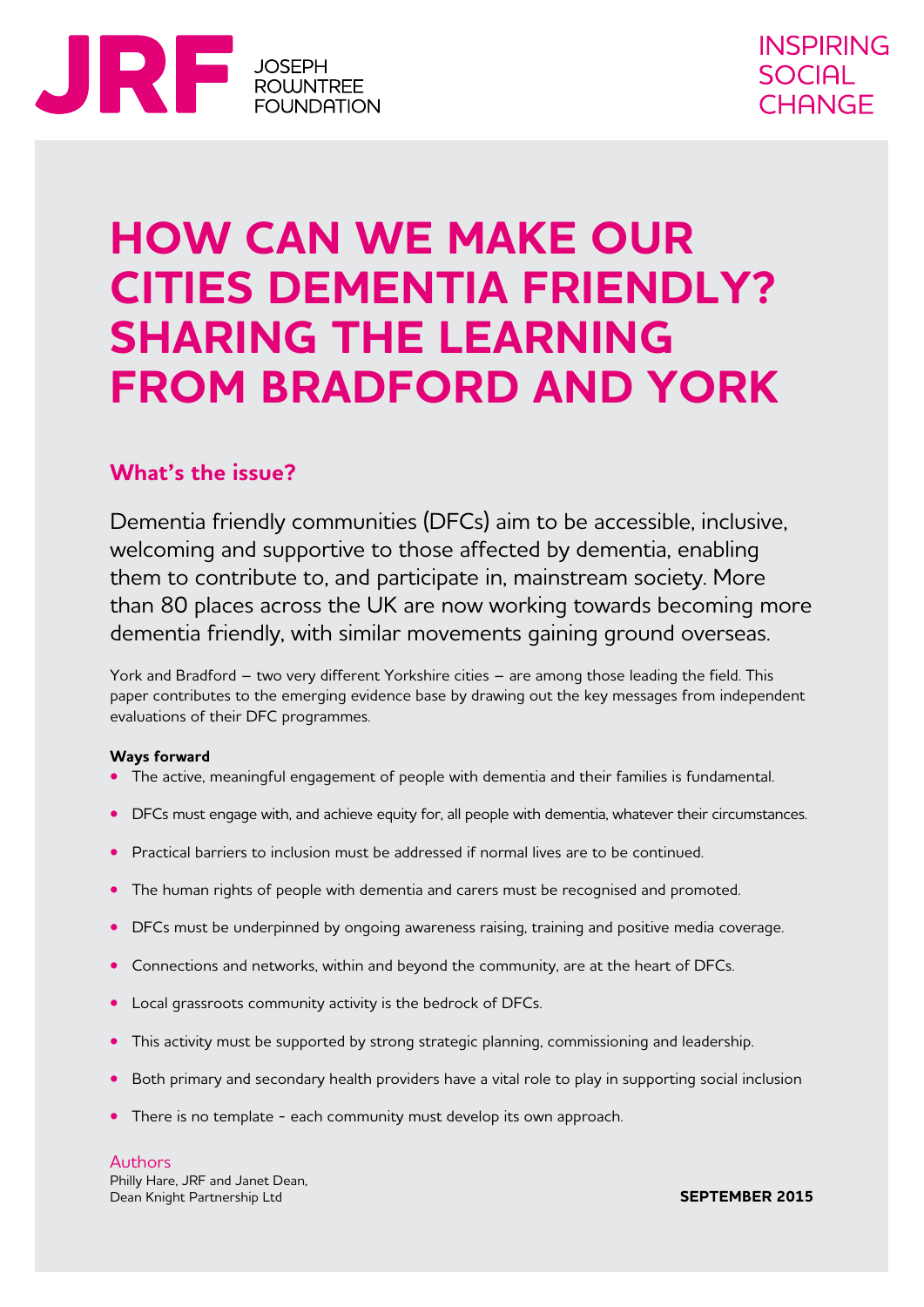

# **HOW CAN WE MAKE OUR CITIES DEMENTIA FRIENDLY? SHARING THE LEARNING FROM BRADFORD AND YORK**

# **What's the issue?**

Dementia friendly communities (DFCs) aim to be accessible, inclusive, welcoming and supportive to those affected by dementia, enabling them to contribute to, and participate in, mainstream society. More than 80 places across the UK are now working towards becoming more dementia friendly, with similar movements gaining ground overseas.

York and Bradford – two very different Yorkshire cities – are among those leading the field. This paper contributes to the emerging evidence base by drawing out the key messages from independent evaluations of their DFC programmes.

#### **Ways forward**

- **•** The active, meaningful engagement of people with dementia and their families is fundamental.
- DFCs must engage with, and achieve equity for, all people with dementia, whatever their circumstances.
- **•** Practical barriers to inclusion must be addressed if normal lives are to be continued.
- **•** The human rights of people with dementia and carers must be recognised and promoted.
- **•** DFCs must be underpinned by ongoing awareness raising, training and positive media coverage.
- **•** Connections and networks, within and beyond the community, are at the heart of DFCs.
- **•** Local grassroots community activity is the bedrock of DFCs.
- **•** This activity must be supported by strong strategic planning, commissioning and leadership.
- **•** Both primary and secondary health providers have a vital role to play in supporting social inclusion
- **•** There is no template each community must develop its own approach.

Authors Philly Hare, JRF and Janet Dean, Dean Knight Partnership Ltd

**SEPTEMBER 2015**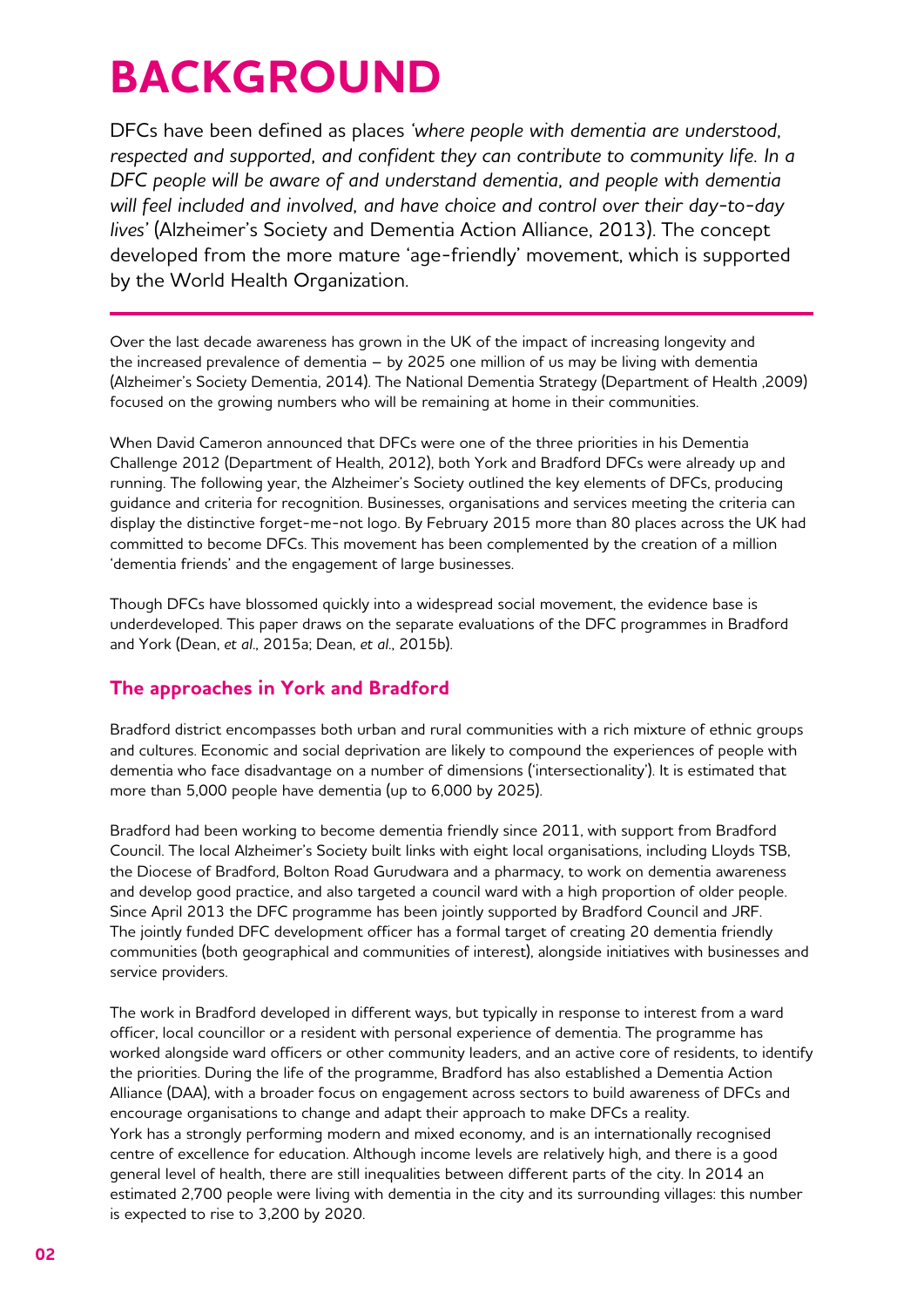# **BACKGROUND**

DFCs have been defined as places *'where people with dementia are understood, respected and supported, and confident they can contribute to community life. In a DFC people will be aware of and understand dementia, and people with dementia will feel included and involved, and have choice and control over their day-to-day lives'* (Alzheimer's Society and Dementia Action Alliance, 2013). The concept developed from the more mature 'age-friendly' movement, which is supported by the World Health Organization.

Over the last decade awareness has grown in the UK of the impact of increasing longevity and the increased prevalence of dementia – by 2025 one million of us may be living with dementia (Alzheimer's Society Dementia, 2014). The National Dementia Strategy (Department of Health ,2009) focused on the growing numbers who will be remaining at home in their communities.

When David Cameron announced that DFCs were one of the three priorities in his Dementia Challenge 2012 (Department of Health, 2012), both York and Bradford DFCs were already up and running. The following year, the Alzheimer's Society outlined the key elements of DFCs, producing guidance and criteria for recognition. Businesses, organisations and services meeting the criteria can display the distinctive forget-me-not logo. By February 2015 more than 80 places across the UK had committed to become DFCs. This movement has been complemented by the creation of a million 'dementia friends' and the engagement of large businesses.

Though DFCs have blossomed quickly into a widespread social movement, the evidence base is underdeveloped. This paper draws on the separate evaluations of the DFC programmes in Bradford and York (Dean, *et al*., 2015a; Dean, *et al*., 2015b).

## **The approaches in York and Bradford**

Bradford district encompasses both urban and rural communities with a rich mixture of ethnic groups and cultures. Economic and social deprivation are likely to compound the experiences of people with dementia who face disadvantage on a number of dimensions ('intersectionality'). It is estimated that more than 5,000 people have dementia (up to 6,000 by 2025).

Bradford had been working to become dementia friendly since 2011, with support from Bradford Council. The local Alzheimer's Society built links with eight local organisations, including Lloyds TSB, the Diocese of Bradford, Bolton Road Gurudwara and a pharmacy, to work on dementia awareness and develop good practice, and also targeted a council ward with a high proportion of older people. Since April 2013 the DFC programme has been jointly supported by Bradford Council and JRF. The jointly funded DFC development officer has a formal target of creating 20 dementia friendly communities (both geographical and communities of interest), alongside initiatives with businesses and service providers.

The work in Bradford developed in different ways, but typically in response to interest from a ward officer, local councillor or a resident with personal experience of dementia. The programme has worked alongside ward officers or other community leaders, and an active core of residents, to identify the priorities. During the life of the programme, Bradford has also established a Dementia Action Alliance (DAA), with a broader focus on engagement across sectors to build awareness of DFCs and encourage organisations to change and adapt their approach to make DFCs a reality. York has a strongly performing modern and mixed economy, and is an internationally recognised centre of excellence for education. Although income levels are relatively high, and there is a good general level of health, there are still inequalities between different parts of the city. In 2014 an estimated 2,700 people were living with dementia in the city and its surrounding villages: this number is expected to rise to 3,200 by 2020.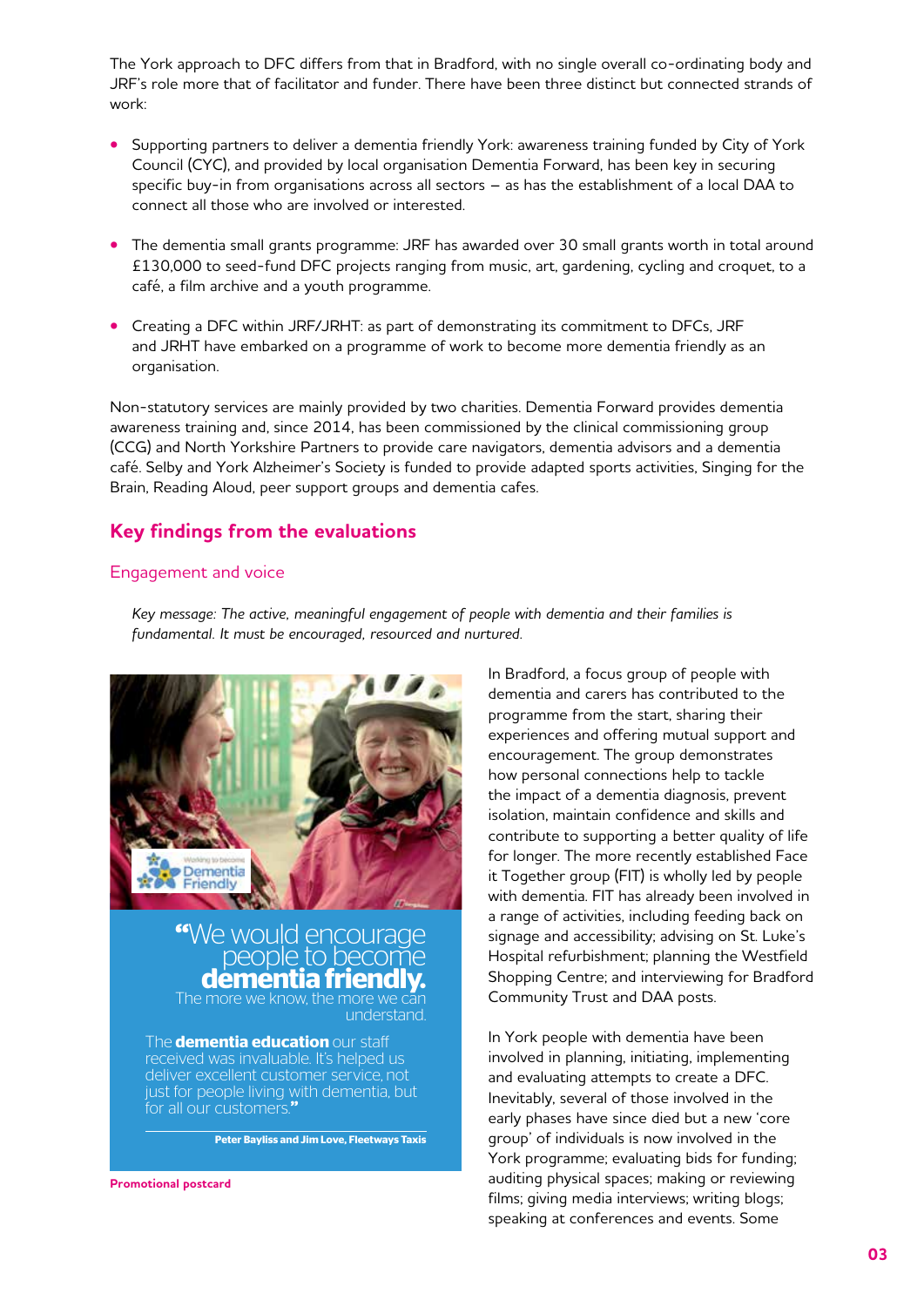The York approach to DFC differs from that in Bradford, with no single overall co-ordinating body and JRF's role more that of facilitator and funder. There have been three distinct but connected strands of work:

- **•** Supporting partners to deliver a dementia friendly York: awareness training funded by City of York Council (CYC), and provided by local organisation Dementia Forward, has been key in securing specific buy-in from organisations across all sectors – as has the establishment of a local DAA to connect all those who are involved or interested.
- **•** The dementia small grants programme: JRF has awarded over 30 small grants worth in total around £130,000 to seed-fund DFC projects ranging from music, art, gardening, cycling and croquet, to a café, a film archive and a youth programme.
- **•** Creating a DFC within JRF/JRHT: as part of demonstrating its commitment to DFCs, JRF and JRHT have embarked on a programme of work to become more dementia friendly as an organisation.

Non-statutory services are mainly provided by two charities. Dementia Forward provides dementia awareness training and, since 2014, has been commissioned by the clinical commissioning group (CCG) and North Yorkshire Partners to provide care navigators, dementia advisors and a dementia café. Selby and York Alzheimer's Society is funded to provide adapted sports activities, Singing for the Brain, Reading Aloud, peer support groups and dementia cafes.

## **Key findings from the evaluations**

#### Engagement and voice

*Key message: The active, meaningful engagement of people with dementia and their families is fundamental. It must be encouraged, resourced and nurtured.*



would encourage<br>people to become **dementia friendly.**<br>The more we know, the more we can understand.

The **dementia education** our staff received was invaluable. It's helped us deliver excellent customer service, not just for people living with dementia, but for all our customers

**Peter Bayliss and Jim Love, Fleetways Taxis**

**Promotional postcard**

In Bradford, a focus group of people with dementia and carers has contributed to the programme from the start, sharing their experiences and offering mutual support and encouragement. The group demonstrates how personal connections help to tackle the impact of a dementia diagnosis, prevent isolation, maintain confidence and skills and contribute to supporting a better quality of life for longer. The more recently established Face it Together group (FIT) is wholly led by people with dementia. FIT has already been involved in a range of activities, including feeding back on signage and accessibility; advising on St. Luke's Hospital refurbishment; planning the Westfield Shopping Centre; and interviewing for Bradford Community Trust and DAA posts.

In York people with dementia have been involved in planning, initiating, implementing and evaluating attempts to create a DFC. Inevitably, several of those involved in the early phases have since died but a new 'core group' of individuals is now involved in the York programme; evaluating bids for funding; auditing physical spaces; making or reviewing films; giving media interviews; writing blogs; speaking at conferences and events. Some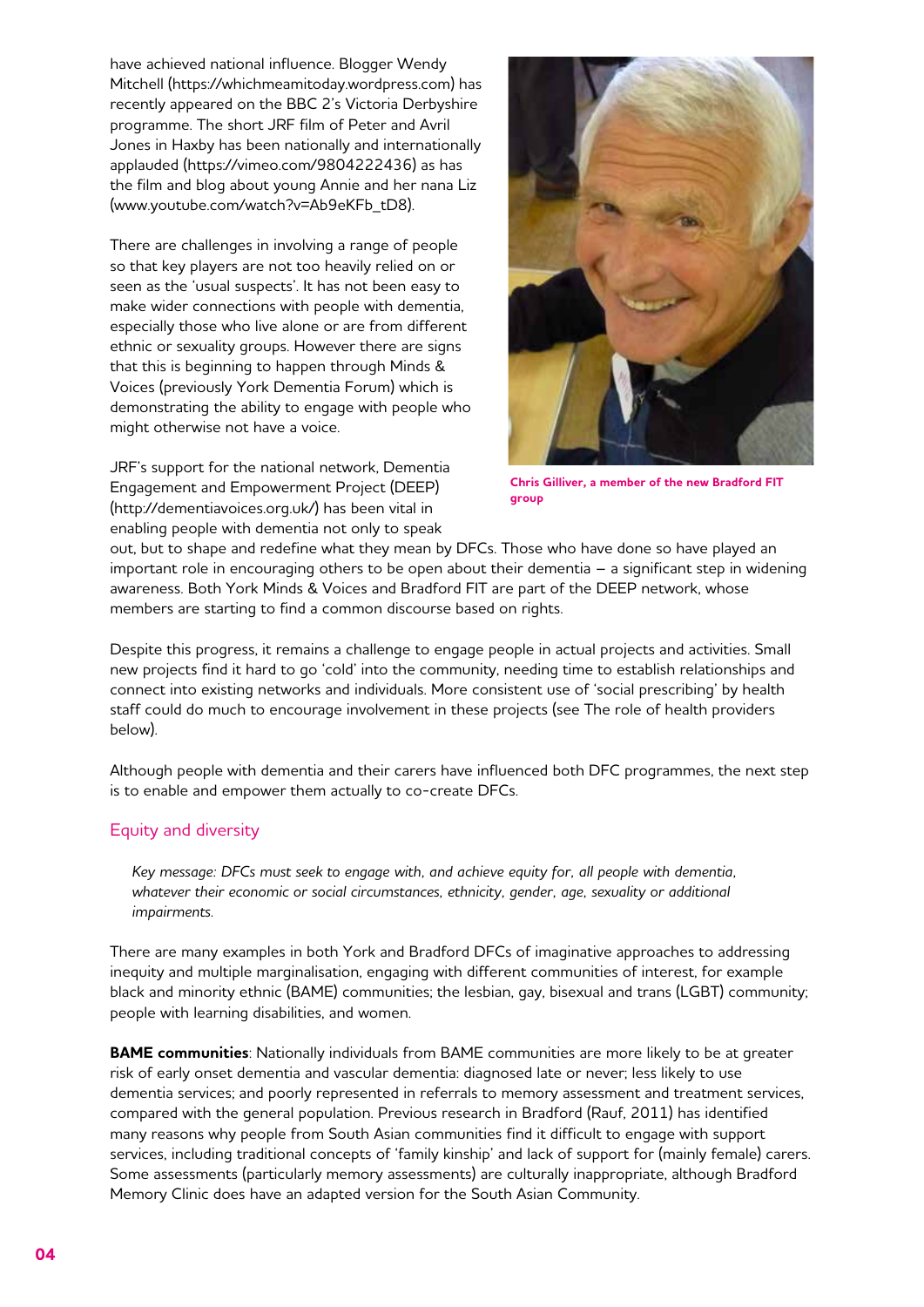have achieved national influence. Blogger Wendy Mitchell (https://whichmeamitoday.wordpress.com) has recently appeared on the BBC 2's Victoria Derbyshire programme. The short JRF film of Peter and Avril Jones in Haxby has been nationally and internationally applauded (https://vimeo.com/9804222436) as has the film and blog about young Annie and her nana Liz (www.youtube.com/watch?v=Ab9eKFb\_tD8).

There are challenges in involving a range of people so that key players are not too heavily relied on or seen as the 'usual suspects'. It has not been easy to make wider connections with people with dementia, especially those who live alone or are from different ethnic or sexuality groups. However there are signs that this is beginning to happen through Minds & Voices (previously York Dementia Forum) which is demonstrating the ability to engage with people who might otherwise not have a voice.

JRF's support for the national network, Dementia Engagement and Empowerment Project (DEEP) (http://dementiavoices.org.uk/) has been vital in enabling people with dementia not only to speak



**Chris Gilliver, a member of the new Bradford FIT group**

out, but to shape and redefine what they mean by DFCs. Those who have done so have played an important role in encouraging others to be open about their dementia – a significant step in widening awareness. Both York Minds & Voices and Bradford FIT are part of the DEEP network, whose members are starting to find a common discourse based on rights.

Despite this progress, it remains a challenge to engage people in actual projects and activities. Small new projects find it hard to go 'cold' into the community, needing time to establish relationships and connect into existing networks and individuals. More consistent use of 'social prescribing' by health staff could do much to encourage involvement in these projects (see The role of health providers below).

Although people with dementia and their carers have influenced both DFC programmes, the next step is to enable and empower them actually to co-create DFCs.

## Equity and diversity

*Key message: DFCs must seek to engage with, and achieve equity for, all people with dementia,*  whatever their economic or social circumstances, ethnicity, gender, age, sexuality or additional *impairments.* 

There are many examples in both York and Bradford DFCs of imaginative approaches to addressing inequity and multiple marginalisation, engaging with different communities of interest, for example black and minority ethnic (BAME) communities; the lesbian, gay, bisexual and trans (LGBT) community; people with learning disabilities, and women.

**BAME communities**: Nationally individuals from BAME communities are more likely to be at greater risk of early onset dementia and vascular dementia: diagnosed late or never; less likely to use dementia services; and poorly represented in referrals to memory assessment and treatment services, compared with the general population. Previous research in Bradford (Rauf, 2011) has identified many reasons why people from South Asian communities find it difficult to engage with support services, including traditional concepts of 'family kinship' and lack of support for (mainly female) carers. Some assessments (particularly memory assessments) are culturally inappropriate, although Bradford Memory Clinic does have an adapted version for the South Asian Community.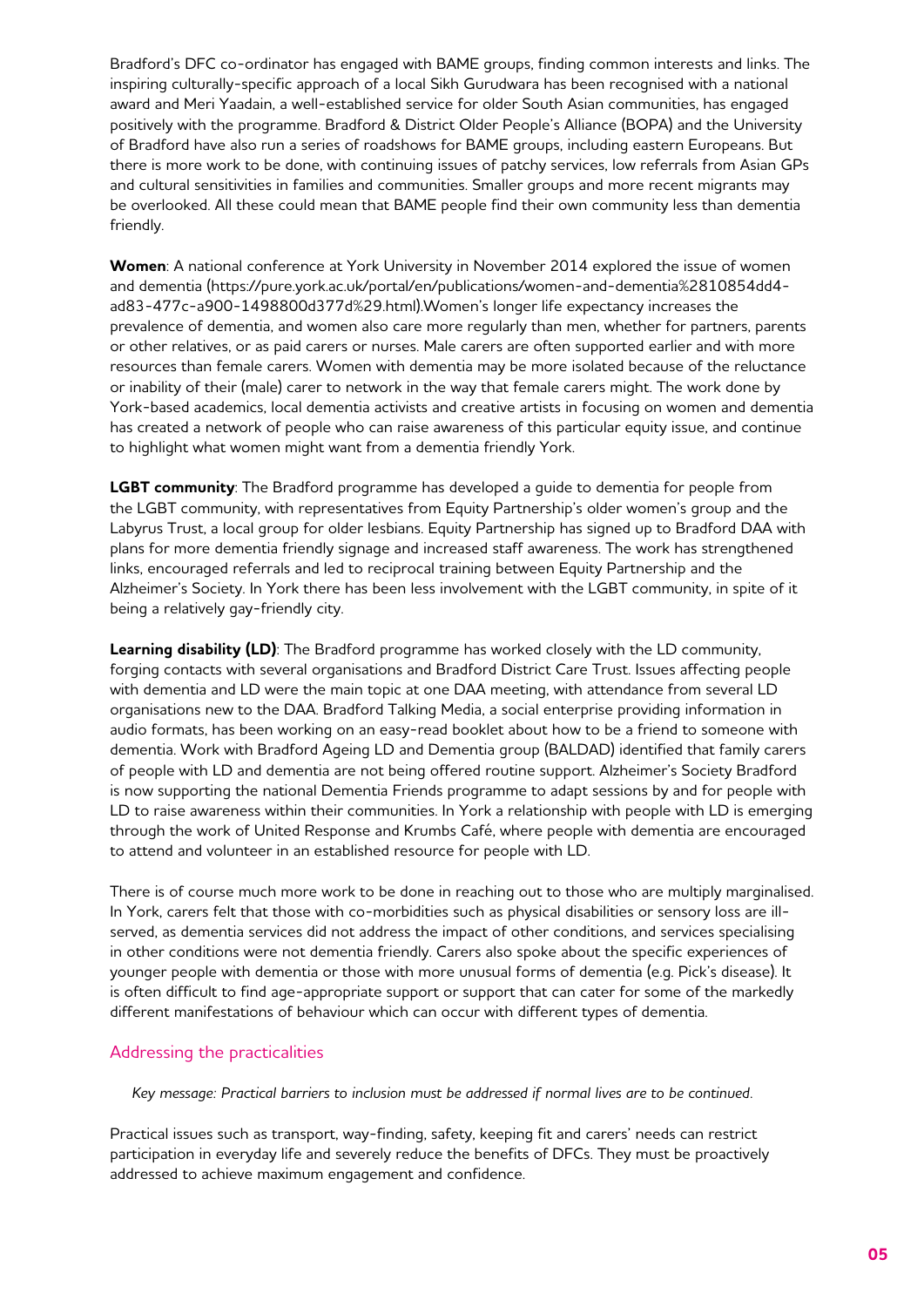Bradford's DFC co-ordinator has engaged with BAME groups, finding common interests and links. The inspiring culturally-specific approach of a local Sikh Gurudwara has been recognised with a national award and Meri Yaadain, a well-established service for older South Asian communities, has engaged positively with the programme. Bradford & District Older People's Alliance (BOPA) and the University of Bradford have also run a series of roadshows for BAME groups, including eastern Europeans. But there is more work to be done, with continuing issues of patchy services, low referrals from Asian GPs and cultural sensitivities in families and communities. Smaller groups and more recent migrants may be overlooked. All these could mean that BAME people find their own community less than dementia friendly.

**Women**: A national conference at York University in November 2014 explored the issue of women and dementia (https://pure.york.ac.uk/portal/en/publications/women-and-dementia%2810854dd4 ad83-477c-a900-1498800d377d%29.html).Women's longer life expectancy increases the prevalence of dementia, and women also care more regularly than men, whether for partners, parents or other relatives, or as paid carers or nurses. Male carers are often supported earlier and with more resources than female carers. Women with dementia may be more isolated because of the reluctance or inability of their (male) carer to network in the way that female carers might. The work done by York-based academics, local dementia activists and creative artists in focusing on women and dementia has created a network of people who can raise awareness of this particular equity issue, and continue to highlight what women might want from a dementia friendly York.

**LGBT community**: The Bradford programme has developed a guide to dementia for people from the LGBT community, with representatives from Equity Partnership's older women's group and the Labyrus Trust, a local group for older lesbians. Equity Partnership has signed up to Bradford DAA with plans for more dementia friendly signage and increased staff awareness. The work has strengthened links, encouraged referrals and led to reciprocal training between Equity Partnership and the Alzheimer's Society. In York there has been less involvement with the LGBT community, in spite of it being a relatively gay-friendly city.

**Learning disability (LD)**: The Bradford programme has worked closely with the LD community, forging contacts with several organisations and Bradford District Care Trust. Issues affecting people with dementia and LD were the main topic at one DAA meeting, with attendance from several LD organisations new to the DAA. Bradford Talking Media, a social enterprise providing information in audio formats, has been working on an easy-read booklet about how to be a friend to someone with dementia. Work with Bradford Ageing LD and Dementia group (BALDAD) identified that family carers of people with LD and dementia are not being offered routine support. Alzheimer's Society Bradford is now supporting the national Dementia Friends programme to adapt sessions by and for people with LD to raise awareness within their communities. In York a relationship with people with LD is emerging through the work of United Response and Krumbs Café, where people with dementia are encouraged to attend and volunteer in an established resource for people with LD.

There is of course much more work to be done in reaching out to those who are multiply marginalised. In York, carers felt that those with co-morbidities such as physical disabilities or sensory loss are illserved, as dementia services did not address the impact of other conditions, and services specialising in other conditions were not dementia friendly. Carers also spoke about the specific experiences of younger people with dementia or those with more unusual forms of dementia (e.g. Pick's disease). It is often difficult to find age-appropriate support or support that can cater for some of the markedly different manifestations of behaviour which can occur with different types of dementia.

## Addressing the practicalities

*Key message: Practical barriers to inclusion must be addressed if normal lives are to be continued.*

Practical issues such as transport, way-finding, safety, keeping fit and carers' needs can restrict participation in everyday life and severely reduce the benefits of DFCs. They must be proactively addressed to achieve maximum engagement and confidence.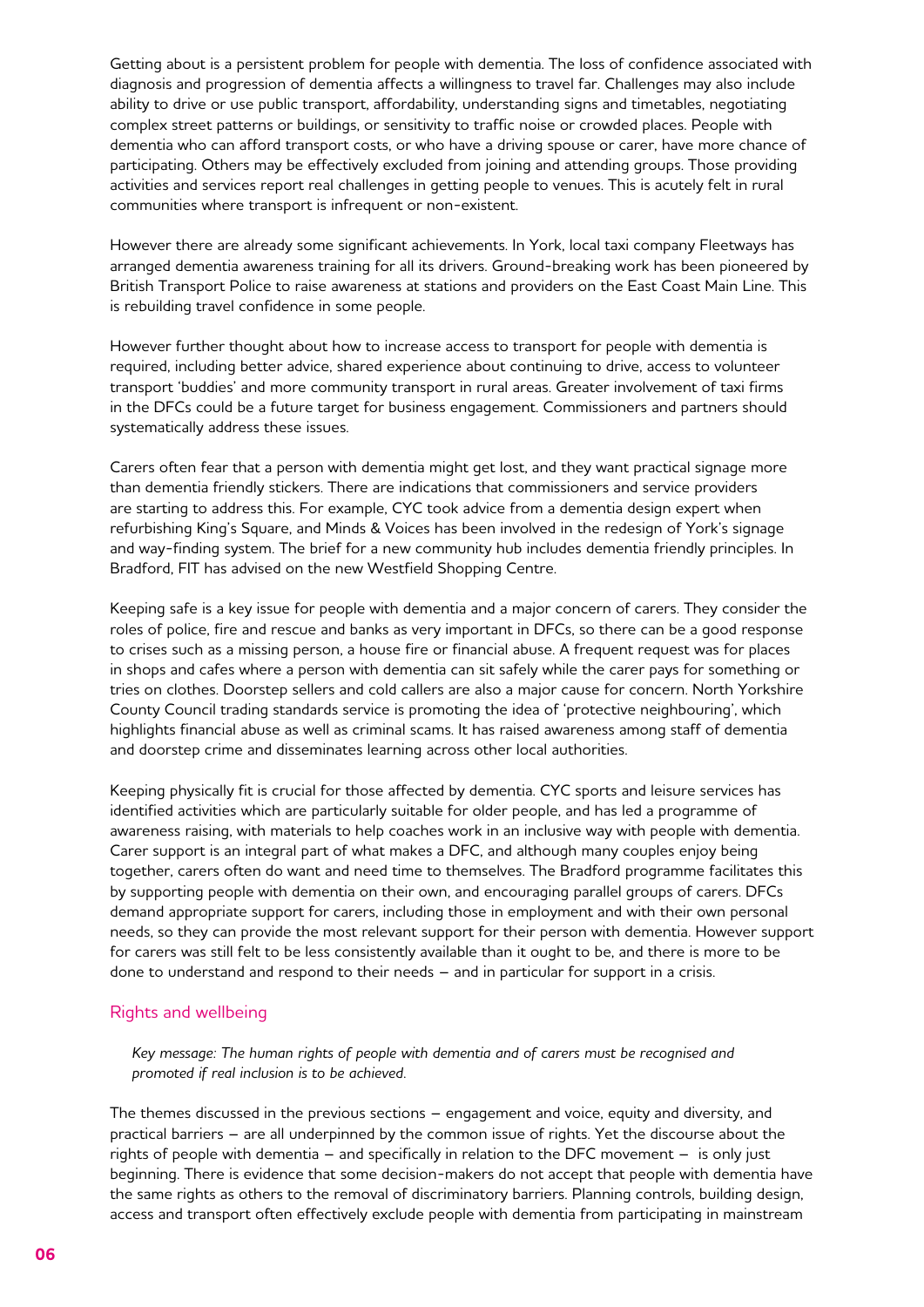Getting about is a persistent problem for people with dementia. The loss of confidence associated with diagnosis and progression of dementia affects a willingness to travel far. Challenges may also include ability to drive or use public transport, affordability, understanding signs and timetables, negotiating complex street patterns or buildings, or sensitivity to traffic noise or crowded places. People with dementia who can afford transport costs, or who have a driving spouse or carer, have more chance of participating. Others may be effectively excluded from joining and attending groups. Those providing activities and services report real challenges in getting people to venues. This is acutely felt in rural communities where transport is infrequent or non-existent.

However there are already some significant achievements. In York, local taxi company Fleetways has arranged dementia awareness training for all its drivers. Ground-breaking work has been pioneered by British Transport Police to raise awareness at stations and providers on the East Coast Main Line. This is rebuilding travel confidence in some people.

However further thought about how to increase access to transport for people with dementia is required, including better advice, shared experience about continuing to drive, access to volunteer transport 'buddies' and more community transport in rural areas. Greater involvement of taxi firms in the DFCs could be a future target for business engagement. Commissioners and partners should systematically address these issues.

Carers often fear that a person with dementia might get lost, and they want practical signage more than dementia friendly stickers. There are indications that commissioners and service providers are starting to address this. For example, CYC took advice from a dementia design expert when refurbishing King's Square, and Minds & Voices has been involved in the redesign of York's signage and way-finding system. The brief for a new community hub includes dementia friendly principles. In Bradford, FIT has advised on the new Westfield Shopping Centre.

Keeping safe is a key issue for people with dementia and a major concern of carers. They consider the roles of police, fire and rescue and banks as very important in DFCs, so there can be a good response to crises such as a missing person, a house fire or financial abuse. A frequent request was for places in shops and cafes where a person with dementia can sit safely while the carer pays for something or tries on clothes. Doorstep sellers and cold callers are also a major cause for concern. North Yorkshire County Council trading standards service is promoting the idea of 'protective neighbouring', which highlights financial abuse as well as criminal scams. It has raised awareness among staff of dementia and doorstep crime and disseminates learning across other local authorities.

Keeping physically fit is crucial for those affected by dementia. CYC sports and leisure services has identified activities which are particularly suitable for older people, and has led a programme of awareness raising, with materials to help coaches work in an inclusive way with people with dementia. Carer support is an integral part of what makes a DFC, and although many couples enjoy being together, carers often do want and need time to themselves. The Bradford programme facilitates this by supporting people with dementia on their own, and encouraging parallel groups of carers. DFCs demand appropriate support for carers, including those in employment and with their own personal needs, so they can provide the most relevant support for their person with dementia. However support for carers was still felt to be less consistently available than it ought to be, and there is more to be done to understand and respond to their needs – and in particular for support in a crisis.

#### Rights and wellbeing

*Key message: The human rights of people with dementia and of carers must be recognised and promoted if real inclusion is to be achieved.* 

The themes discussed in the previous sections – engagement and voice, equity and diversity, and practical barriers – are all underpinned by the common issue of rights. Yet the discourse about the rights of people with dementia – and specifically in relation to the DFC movement – is only just beginning. There is evidence that some decision-makers do not accept that people with dementia have the same rights as others to the removal of discriminatory barriers. Planning controls, building design, access and transport often effectively exclude people with dementia from participating in mainstream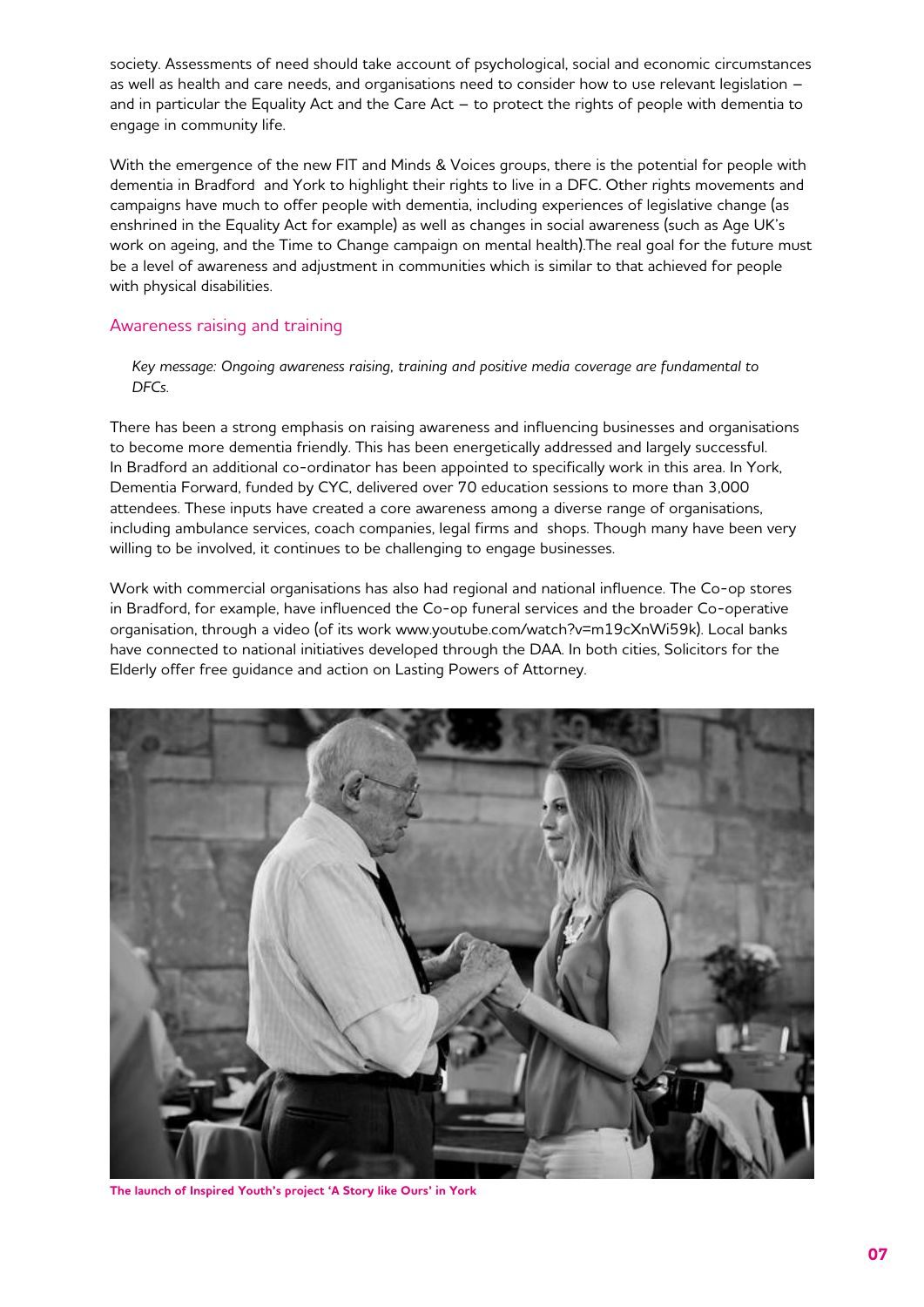society. Assessments of need should take account of psychological, social and economic circumstances as well as health and care needs, and organisations need to consider how to use relevant legislation – and in particular the Equality Act and the Care Act – to protect the rights of people with dementia to engage in community life.

With the emergence of the new FIT and Minds & Voices groups, there is the potential for people with dementia in Bradford and York to highlight their rights to live in a DFC. Other rights movements and campaigns have much to offer people with dementia, including experiences of legislative change (as enshrined in the Equality Act for example) as well as changes in social awareness (such as Age UK's work on ageing, and the Time to Change campaign on mental health).The real goal for the future must be a level of awareness and adjustment in communities which is similar to that achieved for people with physical disabilities.

## Awareness raising and training

*Key message: Ongoing awareness raising, training and positive media coverage are fundamental to DFCs.*

There has been a strong emphasis on raising awareness and influencing businesses and organisations to become more dementia friendly. This has been energetically addressed and largely successful. In Bradford an additional co-ordinator has been appointed to specifically work in this area. In York, Dementia Forward, funded by CYC, delivered over 70 education sessions to more than 3,000 attendees. These inputs have created a core awareness among a diverse range of organisations, including ambulance services, coach companies, legal firms and shops. Though many have been very willing to be involved, it continues to be challenging to engage businesses.

Work with commercial organisations has also had regional and national influence. The Co-op stores in Bradford, for example, have influenced the Co-op funeral services and the broader Co-operative organisation, through a video (of its work www.youtube.com/watch?v=m19cXnWi59k). Local banks have connected to national initiatives developed through the DAA. In both cities, Solicitors for the Elderly offer free guidance and action on Lasting Powers of Attorney.



**The launch of Inspired Youth's project 'A Story like Ours' in York**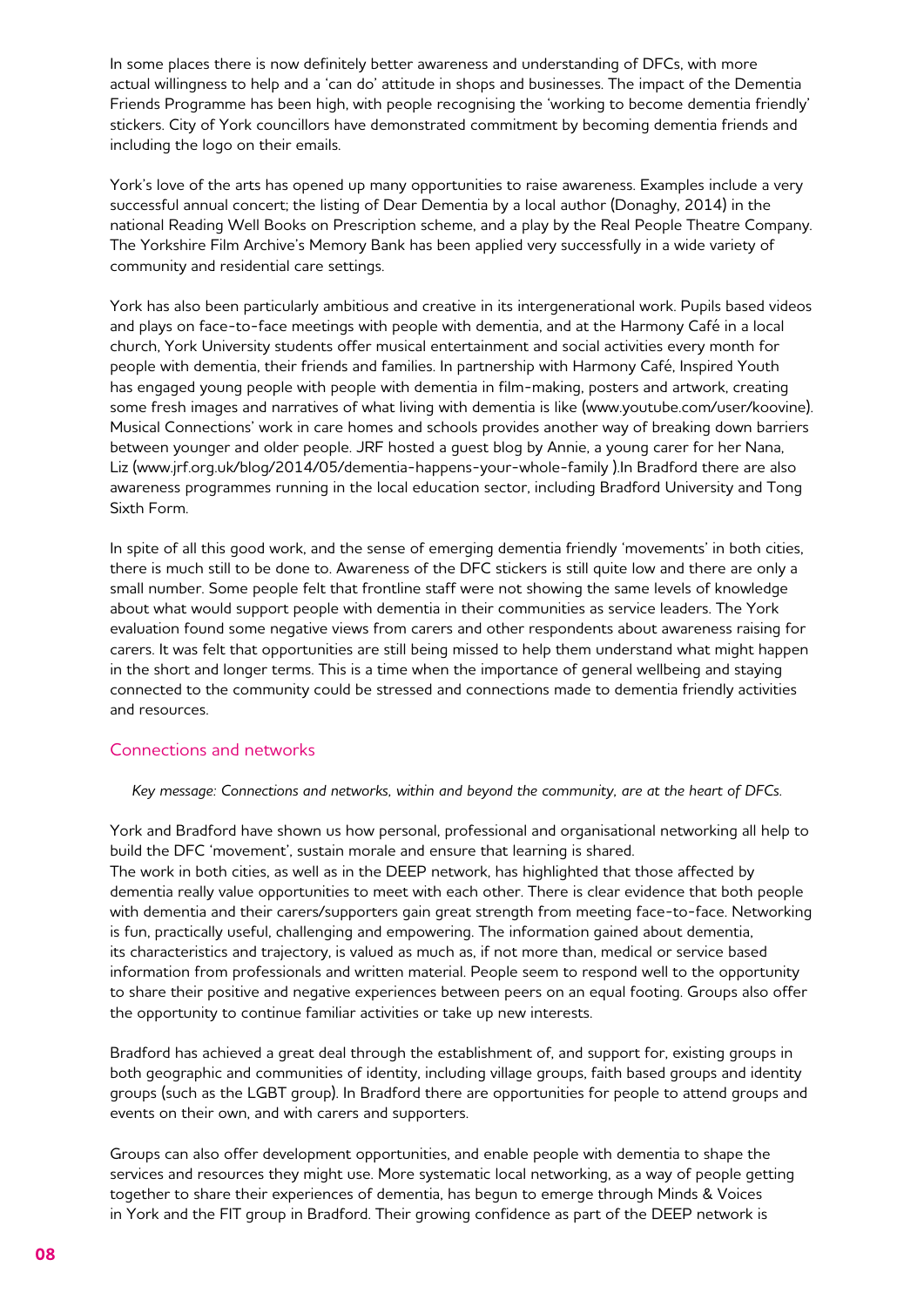In some places there is now definitely better awareness and understanding of DFCs, with more actual willingness to help and a 'can do' attitude in shops and businesses. The impact of the Dementia Friends Programme has been high, with people recognising the 'working to become dementia friendly' stickers. City of York councillors have demonstrated commitment by becoming dementia friends and including the logo on their emails.

York's love of the arts has opened up many opportunities to raise awareness. Examples include a very successful annual concert; the listing of Dear Dementia by a local author (Donaghy, 2014) in the national Reading Well Books on Prescription scheme, and a play by the Real People Theatre Company. The Yorkshire Film Archive's Memory Bank has been applied very successfully in a wide variety of community and residential care settings.

York has also been particularly ambitious and creative in its intergenerational work. Pupils based videos and plays on face-to-face meetings with people with dementia, and at the Harmony Café in a local church, York University students offer musical entertainment and social activities every month for people with dementia, their friends and families. In partnership with Harmony Café, Inspired Youth has engaged young people with people with dementia in film-making, posters and artwork, creating some fresh images and narratives of what living with dementia is like (www.youtube.com/user/koovine). Musical Connections' work in care homes and schools provides another way of breaking down barriers between younger and older people. JRF hosted a guest blog by Annie, a young carer for her Nana, Liz (www.jrf.org.uk/blog/2014/05/dementia-happens-your-whole-family ).In Bradford there are also awareness programmes running in the local education sector, including Bradford University and Tong Sixth Form.

In spite of all this good work, and the sense of emerging dementia friendly 'movements' in both cities, there is much still to be done to. Awareness of the DFC stickers is still quite low and there are only a small number. Some people felt that frontline staff were not showing the same levels of knowledge about what would support people with dementia in their communities as service leaders. The York evaluation found some negative views from carers and other respondents about awareness raising for carers. It was felt that opportunities are still being missed to help them understand what might happen in the short and longer terms. This is a time when the importance of general wellbeing and staying connected to the community could be stressed and connections made to dementia friendly activities and resources.

#### Connections and networks

*Key message: Connections and networks, within and beyond the community, are at the heart of DFCs.*

York and Bradford have shown us how personal, professional and organisational networking all help to build the DFC 'movement', sustain morale and ensure that learning is shared. The work in both cities, as well as in the DEEP network, has highlighted that those affected by dementia really value opportunities to meet with each other. There is clear evidence that both people with dementia and their carers/supporters gain great strength from meeting face-to-face. Networking is fun, practically useful, challenging and empowering. The information gained about dementia, its characteristics and trajectory, is valued as much as, if not more than, medical or service based information from professionals and written material. People seem to respond well to the opportunity to share their positive and negative experiences between peers on an equal footing. Groups also offer the opportunity to continue familiar activities or take up new interests.

Bradford has achieved a great deal through the establishment of, and support for, existing groups in both geographic and communities of identity, including village groups, faith based groups and identity groups (such as the LGBT group). In Bradford there are opportunities for people to attend groups and events on their own, and with carers and supporters.

Groups can also offer development opportunities, and enable people with dementia to shape the services and resources they might use. More systematic local networking, as a way of people getting together to share their experiences of dementia, has begun to emerge through Minds & Voices in York and the FIT group in Bradford. Their growing confidence as part of the DEEP network is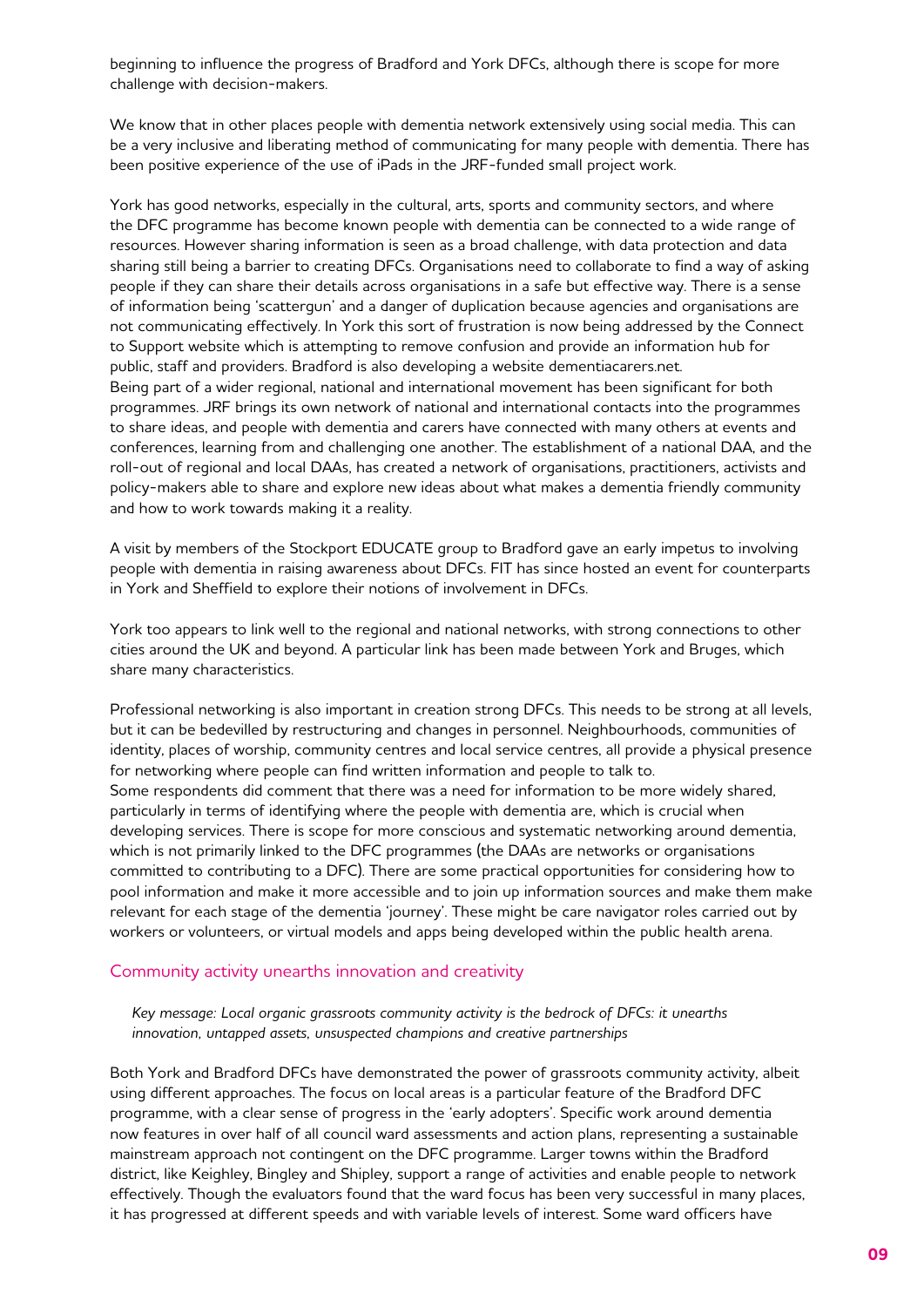beginning to influence the progress of Bradford and York DFCs, although there is scope for more challenge with decision-makers.

We know that in other places people with dementia network extensively using social media. This can be a very inclusive and liberating method of communicating for many people with dementia. There has been positive experience of the use of iPads in the JRF-funded small project work.

York has good networks, especially in the cultural, arts, sports and community sectors, and where the DFC programme has become known people with dementia can be connected to a wide range of resources. However sharing information is seen as a broad challenge, with data protection and data sharing still being a barrier to creating DFCs. Organisations need to collaborate to find a way of asking people if they can share their details across organisations in a safe but effective way. There is a sense of information being 'scattergun' and a danger of duplication because agencies and organisations are not communicating effectively. In York this sort of frustration is now being addressed by the Connect to Support website which is attempting to remove confusion and provide an information hub for public, staff and providers. Bradford is also developing a website dementiacarers.net. Being part of a wider regional, national and international movement has been significant for both programmes. JRF brings its own network of national and international contacts into the programmes to share ideas, and people with dementia and carers have connected with many others at events and conferences, learning from and challenging one another. The establishment of a national DAA, and the roll-out of regional and local DAAs, has created a network of organisations, practitioners, activists and policy-makers able to share and explore new ideas about what makes a dementia friendly community and how to work towards making it a reality.

A visit by members of the Stockport EDUCATE group to Bradford gave an early impetus to involving people with dementia in raising awareness about DFCs. FIT has since hosted an event for counterparts in York and Sheffield to explore their notions of involvement in DFCs.

York too appears to link well to the regional and national networks, with strong connections to other cities around the UK and beyond. A particular link has been made between York and Bruges, which share many characteristics.

Professional networking is also important in creation strong DFCs. This needs to be strong at all levels, but it can be bedevilled by restructuring and changes in personnel. Neighbourhoods, communities of identity, places of worship, community centres and local service centres, all provide a physical presence for networking where people can find written information and people to talk to. Some respondents did comment that there was a need for information to be more widely shared, particularly in terms of identifying where the people with dementia are, which is crucial when developing services. There is scope for more conscious and systematic networking around dementia, which is not primarily linked to the DFC programmes (the DAAs are networks or organisations committed to contributing to a DFC). There are some practical opportunities for considering how to pool information and make it more accessible and to join up information sources and make them make relevant for each stage of the dementia 'journey'. These might be care navigator roles carried out by workers or volunteers, or virtual models and apps being developed within the public health arena.

#### Community activity unearths innovation and creativity

*Key message: Local organic grassroots community activity is the bedrock of DFCs: it unearths innovation, untapped assets, unsuspected champions and creative partnerships*

Both York and Bradford DFCs have demonstrated the power of grassroots community activity, albeit using different approaches. The focus on local areas is a particular feature of the Bradford DFC programme, with a clear sense of progress in the 'early adopters'. Specific work around dementia now features in over half of all council ward assessments and action plans, representing a sustainable mainstream approach not contingent on the DFC programme. Larger towns within the Bradford district, like Keighley, Bingley and Shipley, support a range of activities and enable people to network effectively. Though the evaluators found that the ward focus has been very successful in many places, it has progressed at different speeds and with variable levels of interest. Some ward officers have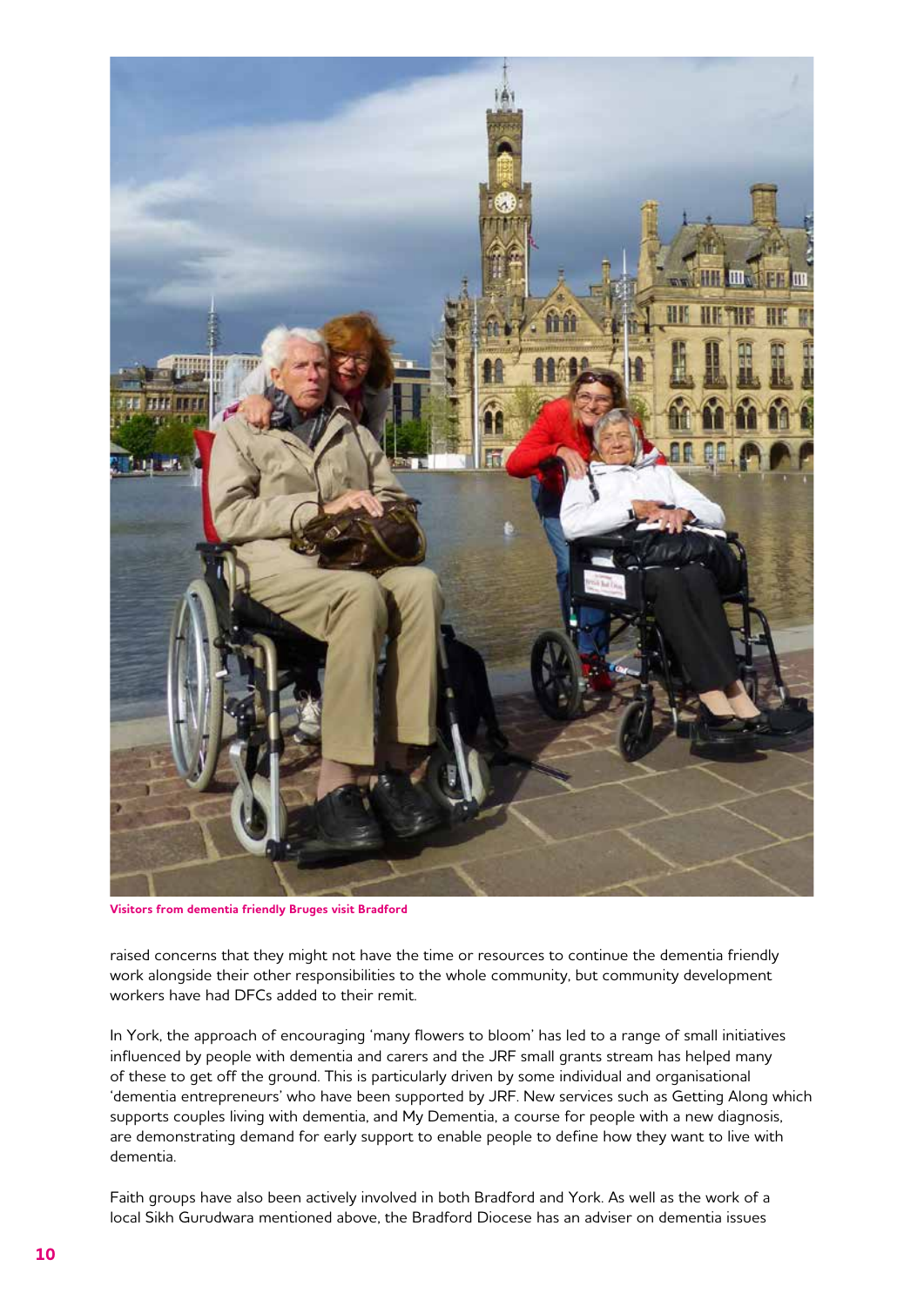

**Visitors from dementia friendly Bruges visit Bradford**

raised concerns that they might not have the time or resources to continue the dementia friendly work alongside their other responsibilities to the whole community, but community development workers have had DFCs added to their remit.

In York, the approach of encouraging 'many flowers to bloom' has led to a range of small initiatives influenced by people with dementia and carers and the JRF small grants stream has helped many of these to get off the ground. This is particularly driven by some individual and organisational 'dementia entrepreneurs' who have been supported by JRF. New services such as Getting Along which supports couples living with dementia, and My Dementia, a course for people with a new diagnosis, are demonstrating demand for early support to enable people to define how they want to live with dementia.

Faith groups have also been actively involved in both Bradford and York. As well as the work of a local Sikh Gurudwara mentioned above, the Bradford Diocese has an adviser on dementia issues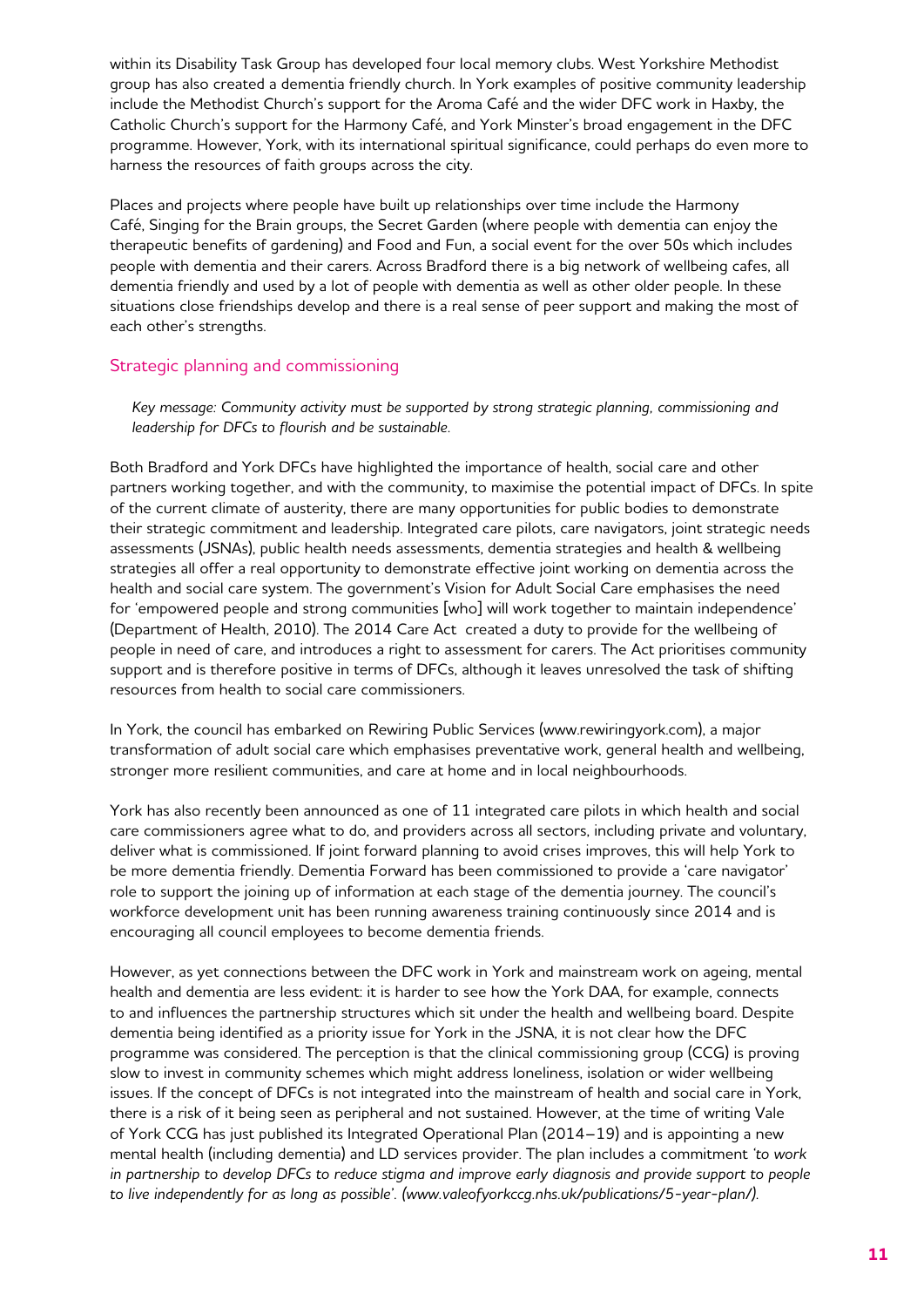within its Disability Task Group has developed four local memory clubs. West Yorkshire Methodist group has also created a dementia friendly church. In York examples of positive community leadership include the Methodist Church's support for the Aroma Café and the wider DFC work in Haxby, the Catholic Church's support for the Harmony Café, and York Minster's broad engagement in the DFC programme. However, York, with its international spiritual significance, could perhaps do even more to harness the resources of faith groups across the city.

Places and projects where people have built up relationships over time include the Harmony Café, Singing for the Brain groups, the Secret Garden (where people with dementia can enjoy the therapeutic benefits of gardening) and Food and Fun, a social event for the over 50s which includes people with dementia and their carers. Across Bradford there is a big network of wellbeing cafes, all dementia friendly and used by a lot of people with dementia as well as other older people. In these situations close friendships develop and there is a real sense of peer support and making the most of each other's strengths.

## Strategic planning and commissioning

*Key message: Community activity must be supported by strong strategic planning, commissioning and leadership for DFCs to flourish and be sustainable.* 

Both Bradford and York DFCs have highlighted the importance of health, social care and other partners working together, and with the community, to maximise the potential impact of DFCs. In spite of the current climate of austerity, there are many opportunities for public bodies to demonstrate their strategic commitment and leadership. Integrated care pilots, care navigators, joint strategic needs assessments (JSNAs), public health needs assessments, dementia strategies and health & wellbeing strategies all offer a real opportunity to demonstrate effective joint working on dementia across the health and social care system. The government's Vision for Adult Social Care emphasises the need for 'empowered people and strong communities [who] will work together to maintain independence' (Department of Health, 2010). The 2014 Care Act created a duty to provide for the wellbeing of people in need of care, and introduces a right to assessment for carers. The Act prioritises community support and is therefore positive in terms of DFCs, although it leaves unresolved the task of shifting resources from health to social care commissioners.

In York, the council has embarked on Rewiring Public Services (www.rewiringyork.com), a major transformation of adult social care which emphasises preventative work, general health and wellbeing, stronger more resilient communities, and care at home and in local neighbourhoods.

York has also recently been announced as one of 11 integrated care pilots in which health and social care commissioners agree what to do, and providers across all sectors, including private and voluntary, deliver what is commissioned. If joint forward planning to avoid crises improves, this will help York to be more dementia friendly. Dementia Forward has been commissioned to provide a 'care navigator' role to support the joining up of information at each stage of the dementia journey. The council's workforce development unit has been running awareness training continuously since 2014 and is encouraging all council employees to become dementia friends.

However, as yet connections between the DFC work in York and mainstream work on ageing, mental health and dementia are less evident: it is harder to see how the York DAA, for example, connects to and influences the partnership structures which sit under the health and wellbeing board. Despite dementia being identified as a priority issue for York in the JSNA, it is not clear how the DFC programme was considered. The perception is that the clinical commissioning group (CCG) is proving slow to invest in community schemes which might address loneliness, isolation or wider wellbeing issues. If the concept of DFCs is not integrated into the mainstream of health and social care in York, there is a risk of it being seen as peripheral and not sustained. However, at the time of writing Vale of York CCG has just published its Integrated Operational Plan (2014–19) and is appointing a new mental health (including dementia) and LD services provider. The plan includes a commitment *'to work in partnership to develop DFCs to reduce stigma and improve early diagnosis and provide support to people to live independently for as long as possible'. (www.valeofyorkccg.nhs.uk/publications/5-year-plan/).*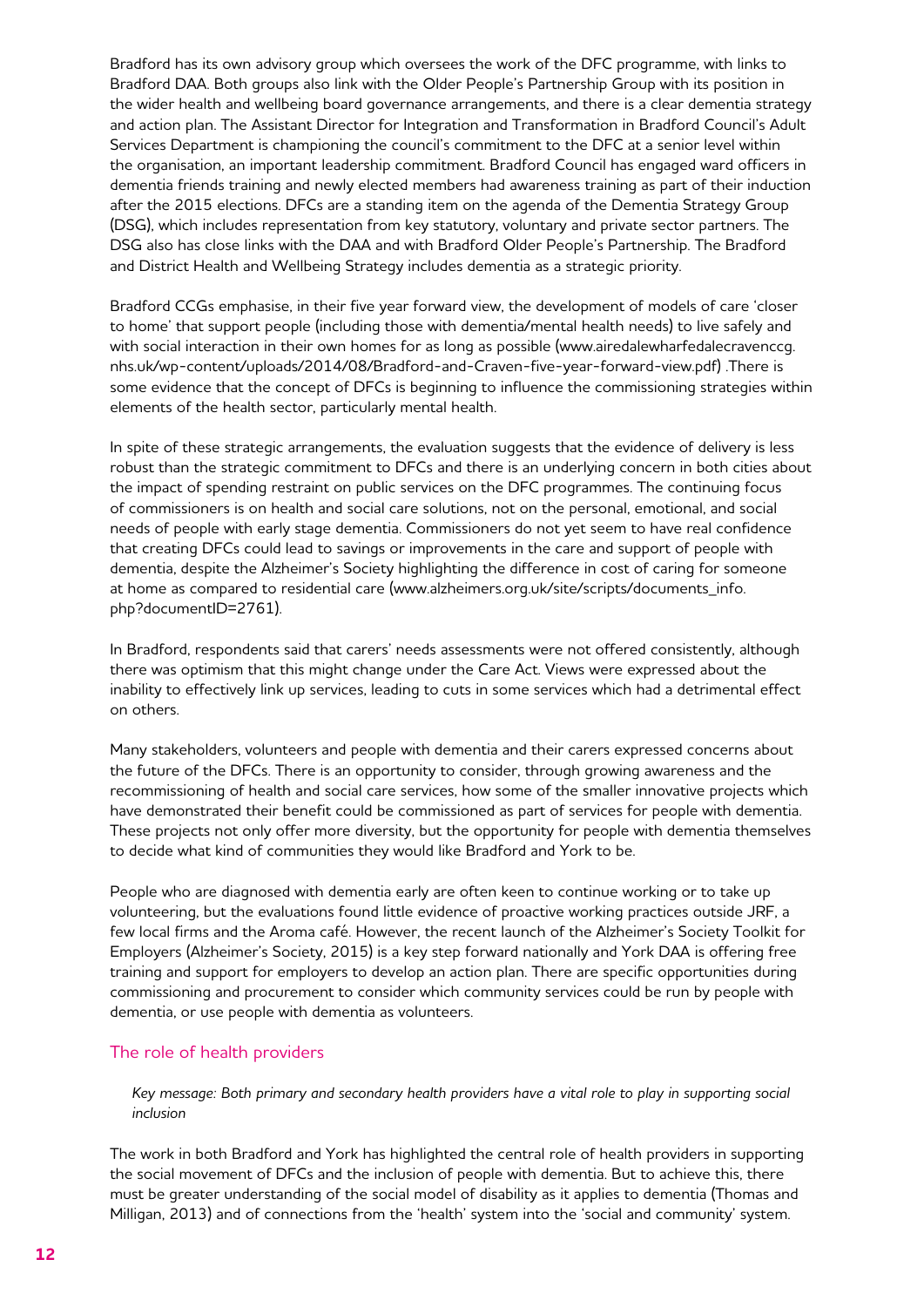Bradford has its own advisory group which oversees the work of the DFC programme, with links to Bradford DAA. Both groups also link with the Older People's Partnership Group with its position in the wider health and wellbeing board governance arrangements, and there is a clear dementia strategy and action plan. The Assistant Director for Integration and Transformation in Bradford Council's Adult Services Department is championing the council's commitment to the DFC at a senior level within the organisation, an important leadership commitment. Bradford Council has engaged ward officers in dementia friends training and newly elected members had awareness training as part of their induction after the 2015 elections. DFCs are a standing item on the agenda of the Dementia Strategy Group (DSG), which includes representation from key statutory, voluntary and private sector partners. The DSG also has close links with the DAA and with Bradford Older People's Partnership. The Bradford and District Health and Wellbeing Strategy includes dementia as a strategic priority.

Bradford CCGs emphasise, in their five year forward view, the development of models of care 'closer to home' that support people (including those with dementia/mental health needs) to live safely and with social interaction in their own homes for as long as possible (www.airedalewharfedalecravenccg. nhs.uk/wp-content/uploads/2014/08/Bradford-and-Craven-five-year-forward-view.pdf) .There is some evidence that the concept of DFCs is beginning to influence the commissioning strategies within elements of the health sector, particularly mental health.

In spite of these strategic arrangements, the evaluation suggests that the evidence of delivery is less robust than the strategic commitment to DFCs and there is an underlying concern in both cities about the impact of spending restraint on public services on the DFC programmes. The continuing focus of commissioners is on health and social care solutions, not on the personal, emotional, and social needs of people with early stage dementia. Commissioners do not yet seem to have real confidence that creating DFCs could lead to savings or improvements in the care and support of people with dementia, despite the Alzheimer's Society highlighting the difference in cost of caring for someone at home as compared to residential care (www.alzheimers.org.uk/site/scripts/documents\_info. php?documentID=2761).

In Bradford, respondents said that carers' needs assessments were not offered consistently, although there was optimism that this might change under the Care Act. Views were expressed about the inability to effectively link up services, leading to cuts in some services which had a detrimental effect on others.

Many stakeholders, volunteers and people with dementia and their carers expressed concerns about the future of the DFCs. There is an opportunity to consider, through growing awareness and the recommissioning of health and social care services, how some of the smaller innovative projects which have demonstrated their benefit could be commissioned as part of services for people with dementia. These projects not only offer more diversity, but the opportunity for people with dementia themselves to decide what kind of communities they would like Bradford and York to be.

People who are diagnosed with dementia early are often keen to continue working or to take up volunteering, but the evaluations found little evidence of proactive working practices outside JRF, a few local firms and the Aroma café. However, the recent launch of the Alzheimer's Society Toolkit for Employers (Alzheimer's Society, 2015) is a key step forward nationally and York DAA is offering free training and support for employers to develop an action plan. There are specific opportunities during commissioning and procurement to consider which community services could be run by people with dementia, or use people with dementia as volunteers.

## The role of health providers

*Key message: Both primary and secondary health providers have a vital role to play in supporting social inclusion*

The work in both Bradford and York has highlighted the central role of health providers in supporting the social movement of DFCs and the inclusion of people with dementia. But to achieve this, there must be greater understanding of the social model of disability as it applies to dementia (Thomas and Milligan, 2013) and of connections from the 'health' system into the 'social and community' system.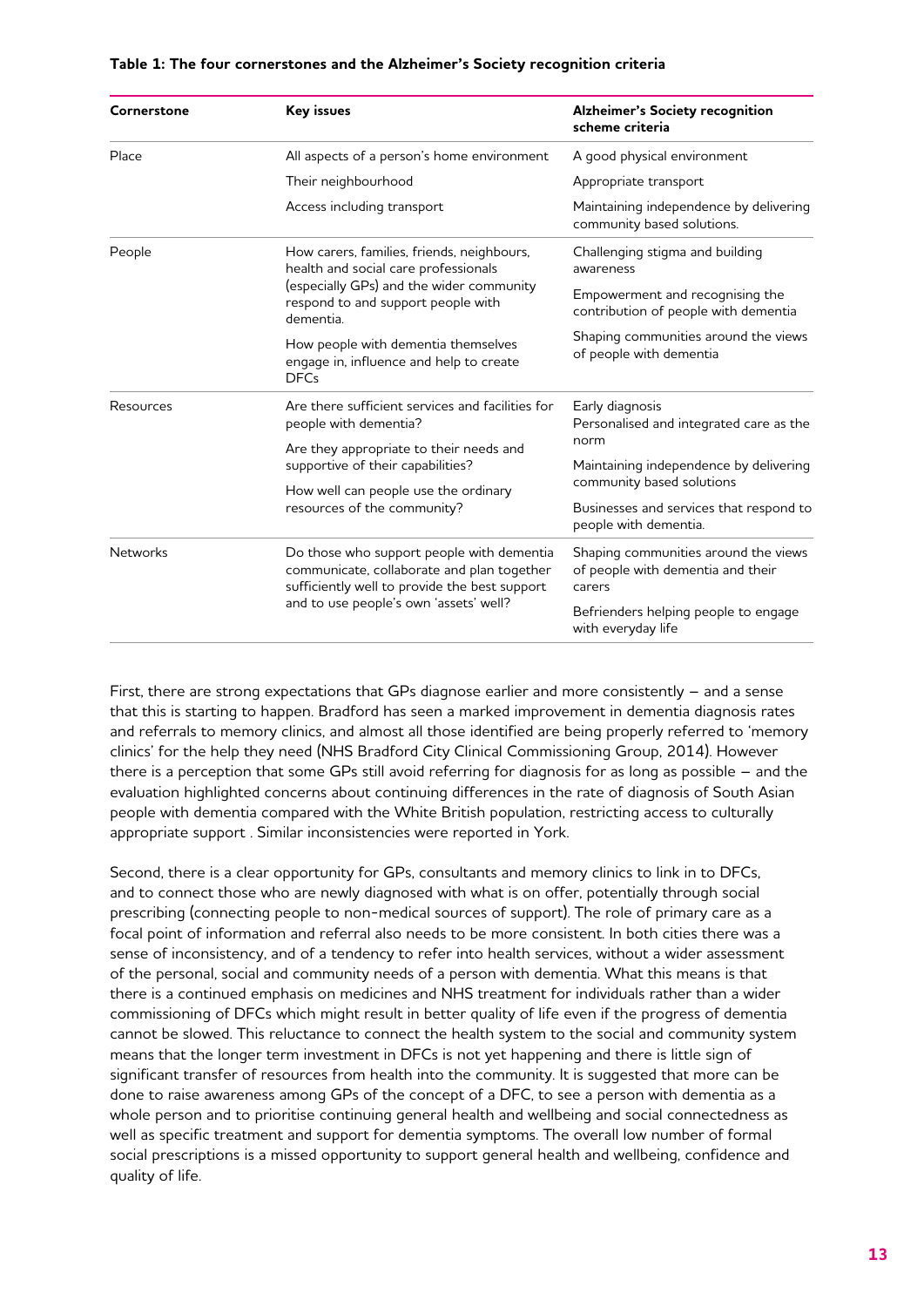| Cornerstone     | Key issues                                                                                                                                                                         | <b>Alzheimer's Society recognition</b><br>scheme criteria                           |
|-----------------|------------------------------------------------------------------------------------------------------------------------------------------------------------------------------------|-------------------------------------------------------------------------------------|
| Place           | All aspects of a person's home environment                                                                                                                                         | A good physical environment                                                         |
|                 | Their neighbourhood                                                                                                                                                                | Appropriate transport                                                               |
|                 | Access including transport                                                                                                                                                         | Maintaining independence by delivering<br>community based solutions.                |
| People          | How carers, families, friends, neighbours,<br>health and social care professionals<br>(especially GPs) and the wider community<br>respond to and support people with<br>dementia.  | Challenging stigma and building<br>awareness                                        |
|                 |                                                                                                                                                                                    | Empowerment and recognising the<br>contribution of people with dementia             |
|                 | How people with dementia themselves<br>engage in, influence and help to create<br><b>DFCs</b>                                                                                      | Shaping communities around the views<br>of people with dementia                     |
| Resources       | Are there sufficient services and facilities for<br>people with dementia?                                                                                                          | Early diagnosis<br>Personalised and integrated care as the                          |
|                 | Are they appropriate to their needs and                                                                                                                                            | norm                                                                                |
|                 | supportive of their capabilities?<br>How well can people use the ordinary<br>resources of the community?                                                                           | Maintaining independence by delivering<br>community based solutions                 |
|                 |                                                                                                                                                                                    | Businesses and services that respond to<br>people with dementia.                    |
| <b>Networks</b> | Do those who support people with dementia<br>communicate, collaborate and plan together<br>sufficiently well to provide the best support<br>and to use people's own 'assets' well? | Shaping communities around the views<br>of people with dementia and their<br>carers |
|                 |                                                                                                                                                                                    | Befrienders helping people to engage<br>with everyday life                          |

#### **Table 1: The four cornerstones and the Alzheimer's Society recognition criteria**

First, there are strong expectations that GPs diagnose earlier and more consistently – and a sense that this is starting to happen. Bradford has seen a marked improvement in dementia diagnosis rates and referrals to memory clinics, and almost all those identified are being properly referred to 'memory clinics' for the help they need (NHS Bradford City Clinical Commissioning Group, 2014). However there is a perception that some GPs still avoid referring for diagnosis for as long as possible – and the evaluation highlighted concerns about continuing differences in the rate of diagnosis of South Asian people with dementia compared with the White British population, restricting access to culturally appropriate support . Similar inconsistencies were reported in York.

Second, there is a clear opportunity for GPs, consultants and memory clinics to link in to DFCs, and to connect those who are newly diagnosed with what is on offer, potentially through social prescribing (connecting people to non-medical sources of support). The role of primary care as a focal point of information and referral also needs to be more consistent. In both cities there was a sense of inconsistency, and of a tendency to refer into health services, without a wider assessment of the personal, social and community needs of a person with dementia. What this means is that there is a continued emphasis on medicines and NHS treatment for individuals rather than a wider commissioning of DFCs which might result in better quality of life even if the progress of dementia cannot be slowed. This reluctance to connect the health system to the social and community system means that the longer term investment in DFCs is not yet happening and there is little sign of significant transfer of resources from health into the community. It is suggested that more can be done to raise awareness among GPs of the concept of a DFC, to see a person with dementia as a whole person and to prioritise continuing general health and wellbeing and social connectedness as well as specific treatment and support for dementia symptoms. The overall low number of formal social prescriptions is a missed opportunity to support general health and wellbeing, confidence and quality of life.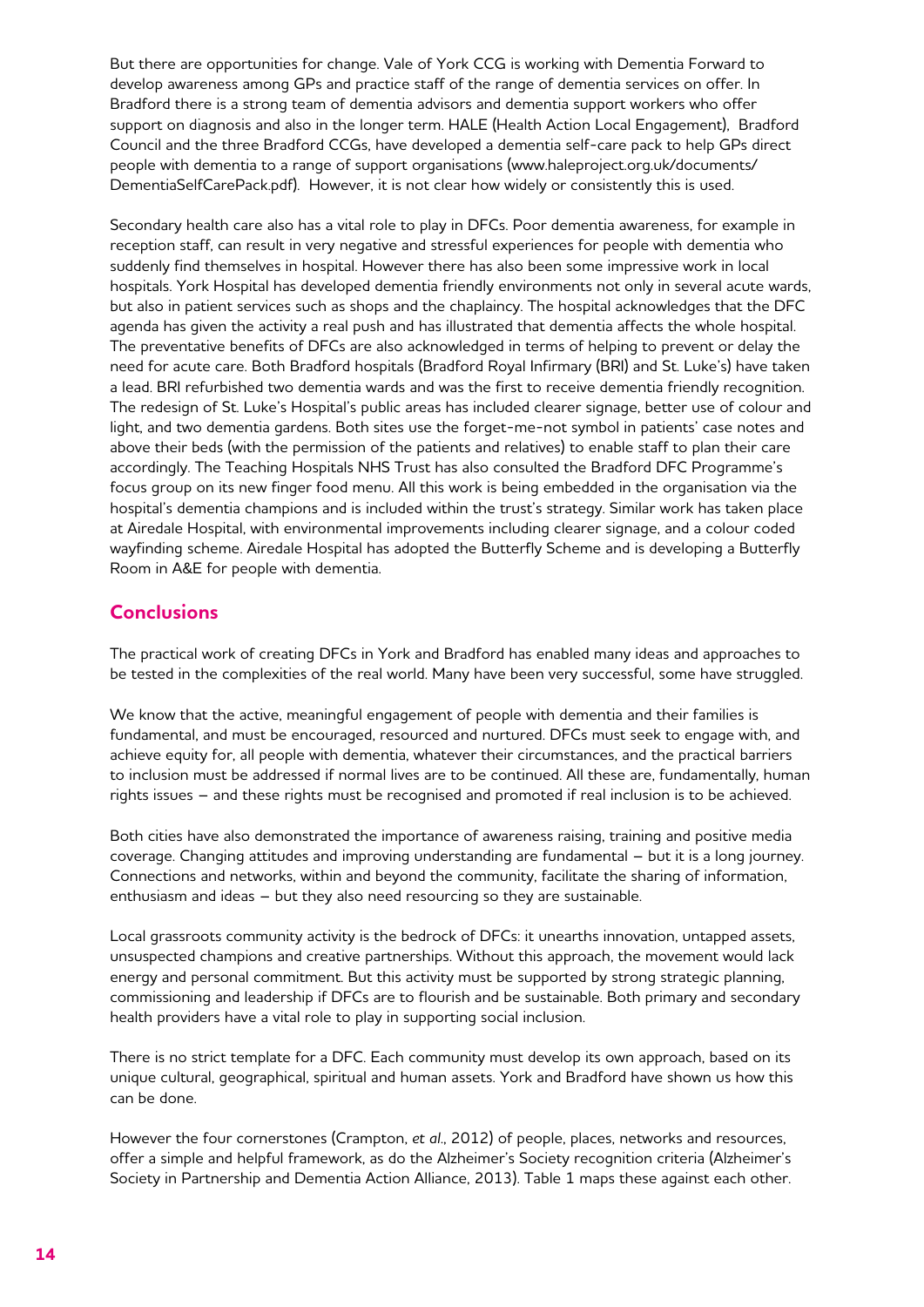But there are opportunities for change. Vale of York CCG is working with Dementia Forward to develop awareness among GPs and practice staff of the range of dementia services on offer. In Bradford there is a strong team of dementia advisors and dementia support workers who offer support on diagnosis and also in the longer term. HALE (Health Action Local Engagement), Bradford Council and the three Bradford CCGs, have developed a dementia self-care pack to help GPs direct people with dementia to a range of support organisations (www.haleproject.org.uk/documents/ DementiaSelfCarePack.pdf). However, it is not clear how widely or consistently this is used.

Secondary health care also has a vital role to play in DFCs. Poor dementia awareness, for example in reception staff, can result in very negative and stressful experiences for people with dementia who suddenly find themselves in hospital. However there has also been some impressive work in local hospitals. York Hospital has developed dementia friendly environments not only in several acute wards, but also in patient services such as shops and the chaplaincy. The hospital acknowledges that the DFC agenda has given the activity a real push and has illustrated that dementia affects the whole hospital. The preventative benefits of DFCs are also acknowledged in terms of helping to prevent or delay the need for acute care. Both Bradford hospitals (Bradford Royal Infirmary (BRI) and St. Luke's) have taken a lead. BRI refurbished two dementia wards and was the first to receive dementia friendly recognition. The redesign of St. Luke's Hospital's public areas has included clearer signage, better use of colour and light, and two dementia gardens. Both sites use the forget-me-not symbol in patients' case notes and above their beds (with the permission of the patients and relatives) to enable staff to plan their care accordingly. The Teaching Hospitals NHS Trust has also consulted the Bradford DFC Programme's focus group on its new finger food menu. All this work is being embedded in the organisation via the hospital's dementia champions and is included within the trust's strategy. Similar work has taken place at Airedale Hospital, with environmental improvements including clearer signage, and a colour coded wayfinding scheme. Airedale Hospital has adopted the Butterfly Scheme and is developing a Butterfly Room in A&E for people with dementia.

## **Conclusions**

The practical work of creating DFCs in York and Bradford has enabled many ideas and approaches to be tested in the complexities of the real world. Many have been very successful, some have struggled.

We know that the active, meaningful engagement of people with dementia and their families is fundamental, and must be encouraged, resourced and nurtured. DFCs must seek to engage with, and achieve equity for, all people with dementia, whatever their circumstances, and the practical barriers to inclusion must be addressed if normal lives are to be continued. All these are, fundamentally, human rights issues – and these rights must be recognised and promoted if real inclusion is to be achieved.

Both cities have also demonstrated the importance of awareness raising, training and positive media coverage. Changing attitudes and improving understanding are fundamental – but it is a long journey. Connections and networks, within and beyond the community, facilitate the sharing of information, enthusiasm and ideas – but they also need resourcing so they are sustainable.

Local grassroots community activity is the bedrock of DFCs: it unearths innovation, untapped assets, unsuspected champions and creative partnerships. Without this approach, the movement would lack energy and personal commitment. But this activity must be supported by strong strategic planning, commissioning and leadership if DFCs are to flourish and be sustainable. Both primary and secondary health providers have a vital role to play in supporting social inclusion.

There is no strict template for a DFC. Each community must develop its own approach, based on its unique cultural, geographical, spiritual and human assets. York and Bradford have shown us how this can be done.

However the four cornerstones (Crampton, *et al*., 2012) of people, places, networks and resources, offer a simple and helpful framework, as do the Alzheimer's Society recognition criteria (Alzheimer's Society in Partnership and Dementia Action Alliance, 2013). Table 1 maps these against each other.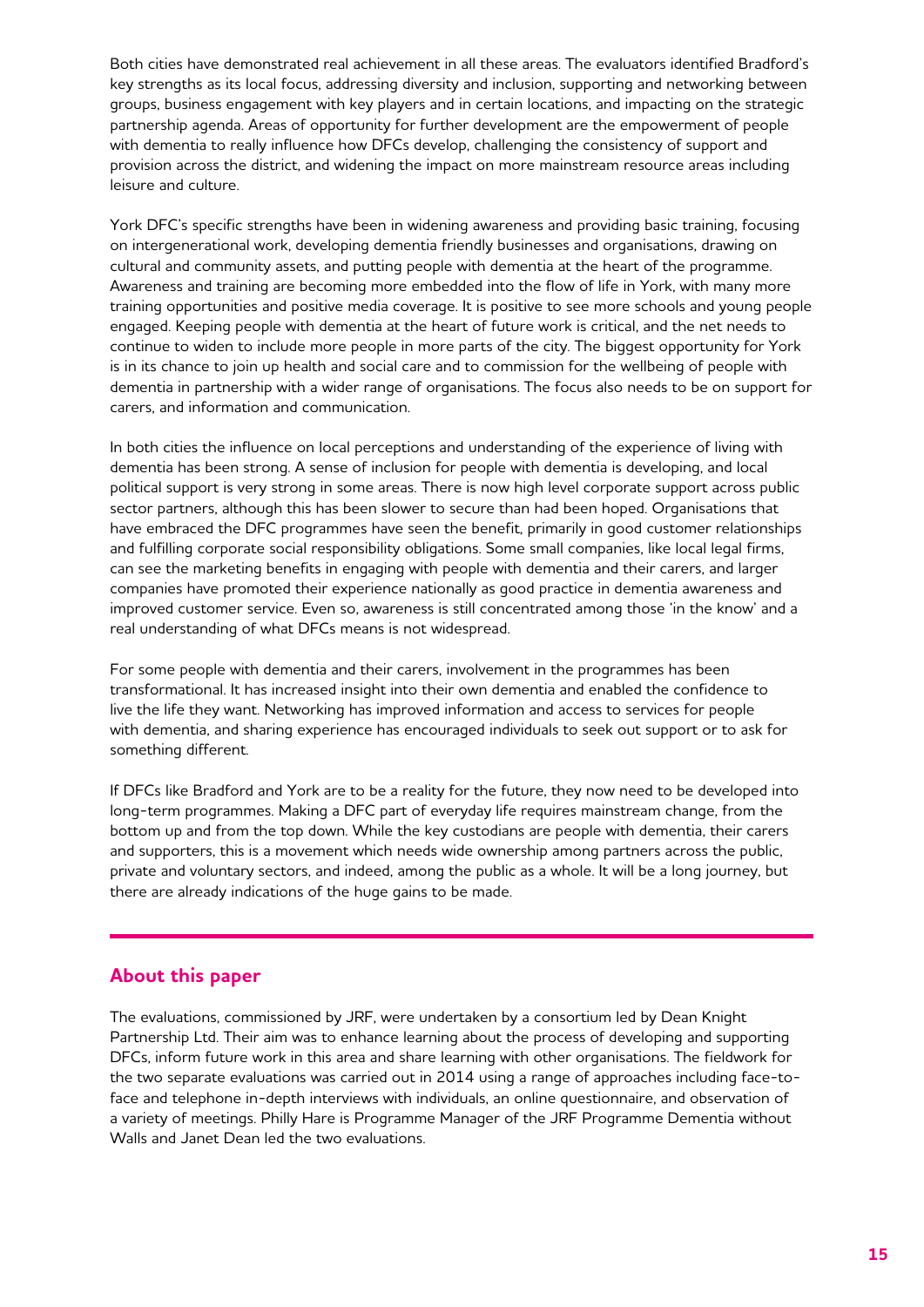Both cities have demonstrated real achievement in all these areas. The evaluators identified Bradford's key strengths as its local focus, addressing diversity and inclusion, supporting and networking between groups, business engagement with key players and in certain locations, and impacting on the strategic partnership agenda. Areas of opportunity for further development are the empowerment of people with dementia to really influence how DFCs develop, challenging the consistency of support and provision across the district, and widening the impact on more mainstream resource areas including leisure and culture.

York DFC's specific strengths have been in widening awareness and providing basic training, focusing on intergenerational work, developing dementia friendly businesses and organisations, drawing on cultural and community assets, and putting people with dementia at the heart of the programme. Awareness and training are becoming more embedded into the flow of life in York, with many more training opportunities and positive media coverage. It is positive to see more schools and young people engaged. Keeping people with dementia at the heart of future work is critical, and the net needs to continue to widen to include more people in more parts of the city. The biggest opportunity for York is in its chance to join up health and social care and to commission for the wellbeing of people with dementia in partnership with a wider range of organisations. The focus also needs to be on support for carers, and information and communication.

In both cities the influence on local perceptions and understanding of the experience of living with dementia has been strong. A sense of inclusion for people with dementia is developing, and local political support is very strong in some areas. There is now high level corporate support across public sector partners, although this has been slower to secure than had been hoped. Organisations that have embraced the DFC programmes have seen the benefit, primarily in good customer relationships and fulfilling corporate social responsibility obligations. Some small companies, like local legal firms, can see the marketing benefits in engaging with people with dementia and their carers, and larger companies have promoted their experience nationally as good practice in dementia awareness and improved customer service. Even so, awareness is still concentrated among those 'in the know' and a real understanding of what DFCs means is not widespread.

For some people with dementia and their carers, involvement in the programmes has been transformational. It has increased insight into their own dementia and enabled the confidence to live the life they want. Networking has improved information and access to services for people with dementia, and sharing experience has encouraged individuals to seek out support or to ask for something different.

If DFCs like Bradford and York are to be a reality for the future, they now need to be developed into long-term programmes. Making a DFC part of everyday life requires mainstream change, from the bottom up and from the top down. While the key custodians are people with dementia, their carers and supporters, this is a movement which needs wide ownership among partners across the public, private and voluntary sectors, and indeed, among the public as a whole. It will be a long journey, but there are already indications of the huge gains to be made.

## **About this paper**

The evaluations, commissioned by JRF, were undertaken by a consortium led by Dean Knight Partnership Ltd. Their aim was to enhance learning about the process of developing and supporting DFCs, inform future work in this area and share learning with other organisations. The fieldwork for the two separate evaluations was carried out in 2014 using a range of approaches including face-toface and telephone in-depth interviews with individuals, an online questionnaire, and observation of a variety of meetings. Philly Hare is Programme Manager of the JRF Programme Dementia without Walls and Janet Dean led the two evaluations.